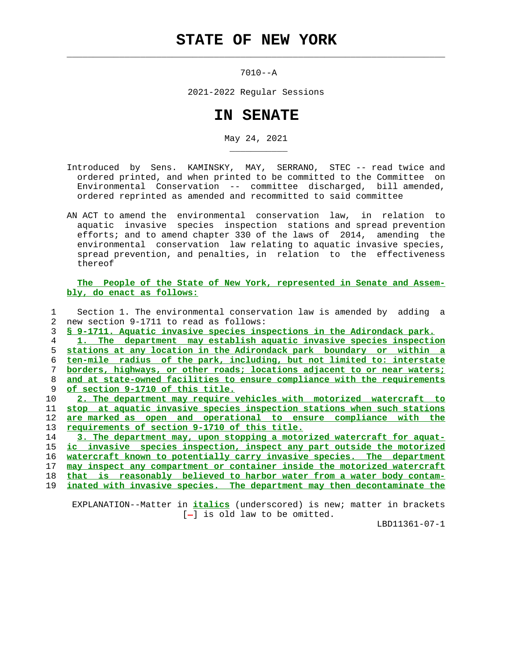## **STATE OF NEW YORK**

 $\mathcal{L}_\text{max} = \frac{1}{2} \sum_{i=1}^{n} \frac{1}{2} \sum_{i=1}^{n} \frac{1}{2} \sum_{i=1}^{n} \frac{1}{2} \sum_{i=1}^{n} \frac{1}{2} \sum_{i=1}^{n} \frac{1}{2} \sum_{i=1}^{n} \frac{1}{2} \sum_{i=1}^{n} \frac{1}{2} \sum_{i=1}^{n} \frac{1}{2} \sum_{i=1}^{n} \frac{1}{2} \sum_{i=1}^{n} \frac{1}{2} \sum_{i=1}^{n} \frac{1}{2} \sum_{i=1}^{n} \frac{1$ 

\_\_\_\_\_\_\_\_\_\_\_

7010--A

2021-2022 Regular Sessions

## **IN SENATE**

May 24, 2021

- Introduced by Sens. KAMINSKY, MAY, SERRANO, STEC -- read twice and ordered printed, and when printed to be committed to the Committee on Environmental Conservation -- committee discharged, bill amended, ordered reprinted as amended and recommitted to said committee
- AN ACT to amend the environmental conservation law, in relation to aquatic invasive species inspection stations and spread prevention efforts; and to amend chapter 330 of the laws of 2014, amending the environmental conservation law relating to aquatic invasive species, spread prevention, and penalties, in relation to the effectiveness thereof

 **The People of the State of New York, represented in Senate and Assem bly, do enact as follows:**

 1 Section 1. The environmental conservation law is amended by adding a 2 new section 9-1711 to read as follows: 3 **§ 9-1711. Aquatic invasive species inspections in the Adirondack park.**

**1. The department may establish aquatic invasive species inspection stations at any location in the Adirondack park boundary or within a ten-mile radius of the park, including, but not limited to: interstate borders, highways, or other roads; locations adjacent to or near waters; and at state-owned facilities to ensure compliance with the requirements of section 9-1710 of this title.**

**2. The department may require vehicles with motorized watercraft to stop at aquatic invasive species inspection stations when such stations are marked as open and operational to ensure compliance with the requirements of section 9-1710 of this title.**

**3. The department may, upon stopping a motorized watercraft for aquat- ic invasive species inspection, inspect any part outside the motorized watercraft known to potentially carry invasive species. The department may inspect any compartment or container inside the motorized watercraft that is reasonably believed to harbor water from a water body contam-**

19 **inated with invasive species. The department may then decontaminate the**

 EXPLANATION--Matter in **italics** (underscored) is new; matter in brackets  $[-]$  is old law to be omitted.

LBD11361-07-1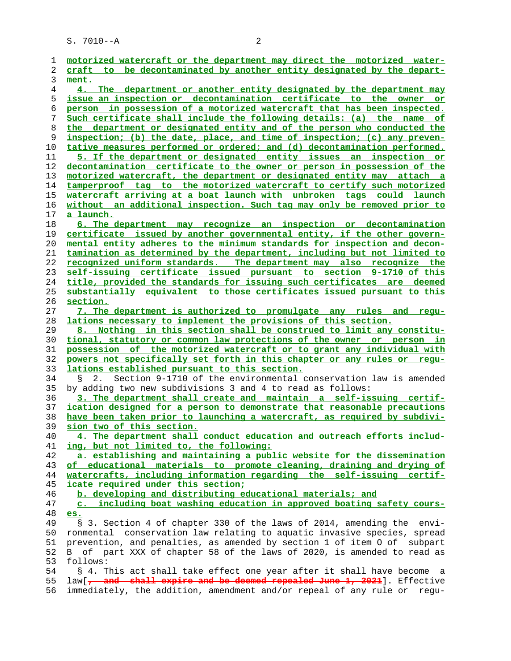S. 7010--A 2

| 1              | motorized watercraft or the department may direct the motorized water-               |
|----------------|--------------------------------------------------------------------------------------|
| 2              | craft to be decontaminated by another entity designated by the depart-               |
| 3              | ment.                                                                                |
|                |                                                                                      |
| $\overline{4}$ | 4. The department or another entity designated by the department may                 |
| 5              | issue an inspection or decontamination certificate to the owner or                   |
| 6              | person in possession of a motorized watercraft that has been inspected.              |
| 7              | Such certificate shall include the following details: (a) the name of                |
| 8              | the department or designated entity and of the person who conducted the              |
| 9              | inspection; (b) the date, place, and time of inspection; (c) any preven-             |
| 10             | tative measures performed or ordered; and (d) decontamination performed.             |
| 11             | 5. If the department or designated entity issues an inspection or                    |
| 12             | decontamination certificate to the owner or person in possession of the              |
| 13             | motorized watercraft, the department or designated entity may attach a               |
| 14             | tamperproof tag to the motorized watercraft to certify such motorized                |
| 15             | watercraft arriving at a boat launch with unbroken tags could launch                 |
| 16             | without an additional inspection. Such tag may only be removed prior to              |
| 17             | a launch.                                                                            |
| 18             | 6. The department may recognize an inspection or decontamination                     |
| 19             |                                                                                      |
|                | certificate issued by another governmental entity, if the other govern-              |
| 20             | mental entity adheres to the minimum standards for inspection and decon-             |
| 21             | tamination as determined by the department, including but not limited to             |
| 22             | recognized uniform standards. The department may also recognize the                  |
| 23             | self-issuing certificate issued pursuant to section 9-1710 of this                   |
| 24             | title, provided the standards for issuing such certificates are deemed               |
| 25             | substantially equivalent to those certificates issued pursuant to this               |
| 26             | section.                                                                             |
| 27             | 7. The department is authorized to promulgate any rules and<br>requ-                 |
| 28             | lations necessary to implement the provisions of this section.                       |
| 29             | 8. Nothing in this section shall be construed to limit any constitu-                 |
| 30             | tional, statutory or common law protections of the owner or person in                |
| 31             | possession of the motorized watercraft or to grant any individual with               |
| 32             | powers not specifically set forth in this chapter or any rules or requ-              |
| 33             | lations established pursuant to this section.                                        |
| 34             | Section 9-1710 of the environmental conservation law is amended<br>S<br>2.           |
| 35             | by adding two new subdivisions 3 and 4 to read as follows:                           |
| 36             | 3. The department shall create and maintain a self-issuing certif-                   |
| 37             | ication designed for a person to demonstrate that reasonable precautions             |
| 38             | have been taken prior to launching a watercraft, as required by subdivi-             |
| 39             | sion two of this section.                                                            |
| 40             | 4. The department shall conduct education and outreach efforts includ-               |
| 41             | ing, but not limited to, the following:                                              |
| 42             | a. establishing and maintaining a public website for the dissemination               |
| 43             | of educational materials to promote cleaning, draining and drying of                 |
| 44             | watercrafts, including information regarding the self-issuing certif-                |
| 45             | icate required under this section;                                                   |
| 46             | b. developing and distributing educational materials; and                            |
| 47             | c. including boat washing education in approved boating safety cours-                |
| 48             | es.                                                                                  |
| 49             | § 3. Section 4 of chapter 330 of the laws of 2014, amending the envi-                |
|                |                                                                                      |
| 50             | ronmental conservation law relating to aquatic invasive species, spread              |
| 51             | prevention, and penalties, as amended by section 1 of item 0 of subpart              |
| 52             | of part XXX of chapter 58 of the laws of 2020, is amended to read as<br>$\mathbf{B}$ |
| 53             | follows:                                                                             |
| 54             | § 4. This act shall take effect one year after it shall have become a                |
| 55             | law[, and shall expire and be deemed repealed June 1, 2021]. Effective               |
| 56             | immediately, the addition, amendment and/or repeal of any rule or<br>requ-           |